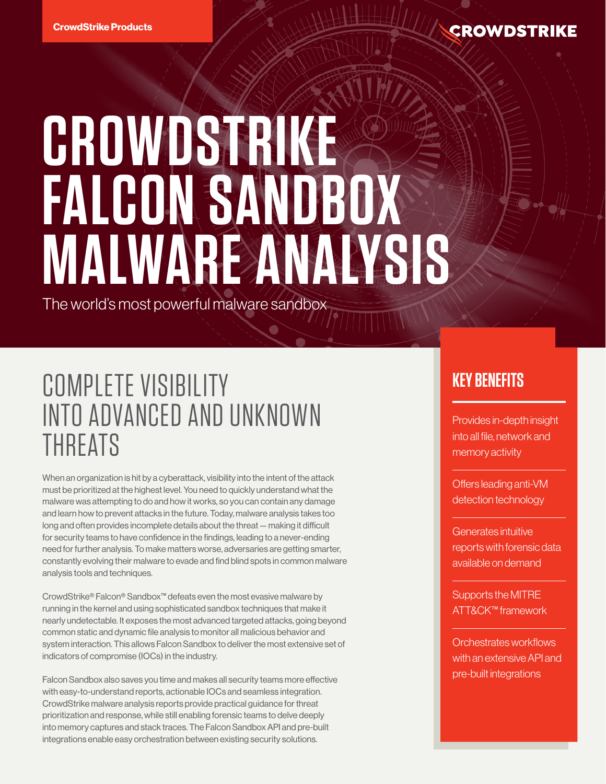

# **CROWDSTRIKE FALCON SANDBOX MALWARE ANALYSIS**

The world's most powerful malware sandbox

## COMPLETE VISIBILITY INTO ADVANCED AND UNKNOWN THREATS

When an organization is hit by a cyberattack, visibility into the intent of the attack must be prioritized at the highest level. You need to quickly understand what the malware was attempting to do and how it works, so you can contain any damage and learn how to prevent attacks in the future. Today, malware analysis takes too long and often provides incomplete details about the threat — making it difficult for security teams to have confidence in the findings, leading to a never-ending need for further analysis. To make matters worse, adversaries are getting smarter, constantly evolving their malware to evade and find blind spots in common malware analysis tools and techniques.

CrowdStrike® Falcon® Sandbox™ defeats even the most evasive malware by running in the kernel and using sophisticated sandbox techniques that make it nearly undetectable. It exposes the most advanced targeted attacks, going beyond common static and dynamic file analysis to monitor all malicious behavior and system interaction. This allows Falcon Sandbox to deliver the most extensive set of indicators of compromise (IOCs) in the industry.

Falcon Sandbox also saves you time and makes all security teams more effective with easy-to-understand reports, actionable IOCs and seamless integration. CrowdStrike malware analysis reports provide practical guidance for threat prioritization and response, while still enabling forensic teams to delve deeply into memory captures and stack traces. The Falcon Sandbox API and pre-built integrations enable easy orchestration between existing security solutions.

## **KEY BENEFITS**

Provides in-depth insight into all file, network and memory activity

Offers leading anti-VM detection technology

Generates intuitive reports with forensic data available on demand

Supports the MITRE ATT&CK™ framework

Orchestrates workflows with an extensive API and pre-built integrations